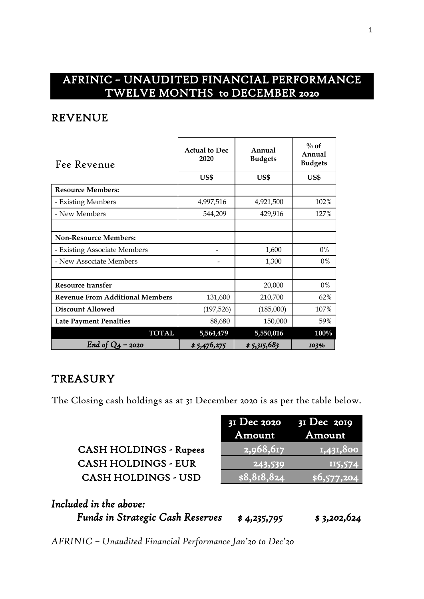## AFRINIC – UNAUDITED FINANCIAL PERFORMANCE TWELVE MONTHS to DECEMBER 2020

#### REVENUE

| Fee Revenue                            | <b>Actual to Dec</b><br>2020 | Annual<br><b>Budgets</b> | $\%$ of<br>Annual<br><b>Budgets</b> |  |
|----------------------------------------|------------------------------|--------------------------|-------------------------------------|--|
|                                        | US\$                         | US\$                     | US\$                                |  |
| <b>Resource Members:</b>               |                              |                          |                                     |  |
| - Existing Members                     | 4,997,516                    | 4,921,500                | 102%                                |  |
| - New Members                          | 544,209                      | 429,916                  | 127%                                |  |
|                                        |                              |                          |                                     |  |
| <b>Non-Resource Members:</b>           |                              |                          |                                     |  |
| - Existing Associate Members           |                              | 1,600                    | 0%                                  |  |
| - New Associate Members                |                              | 1,300                    | $0\%$                               |  |
|                                        |                              |                          |                                     |  |
| <b>Resource transfer</b>               |                              | 20,000                   | $0\%$                               |  |
| <b>Revenue From Additional Members</b> | 131,600                      | 210,700                  | 62%                                 |  |
| <b>Discount Allowed</b>                | (197, 526)                   | (185,000)                | 107%                                |  |
| <b>Late Payment Penalties</b>          | 88,680                       | 150,000                  | 59%                                 |  |
| <b>TOTAL</b>                           | 5,564,479                    | 5,550,016                | $100\%$                             |  |
| End of $Q_4$ – 2020                    | \$5,476,275                  | \$ 5,315,683             | 103%                                |  |

#### **TREASURY**

The Closing cash holdings as at 31 December 2020 is as per the table below.

| <b>CASH HOLDINGS - Rupees</b> |
|-------------------------------|
| <b>CASH HOLDINGS - EUR</b>    |
| <b>CASH HOLDINGS - USD</b>    |

|                               | $3I$ Dec 2020 $3I$ Dec 2019<br>Amount | <b>Amount</b>  |
|-------------------------------|---------------------------------------|----------------|
| <b>CASH HOLDINGS - Rupees</b> | 2,968,617                             | 1,431,800      |
| <b>CASH HOLDINGS - EUR</b>    | 243,539                               | <b>II5,574</b> |
| <b>CASH HOLDINGS - USD</b>    | \$8,818,824                           | \$6,577,204    |

| Included in the above:                  |             |             |
|-----------------------------------------|-------------|-------------|
| <b>Funds in Strategic Cash Reserves</b> | \$4,235,795 | \$3,202,624 |

*AFRINIC – Unaudited Financial Performance Jan'20 to Dec'20*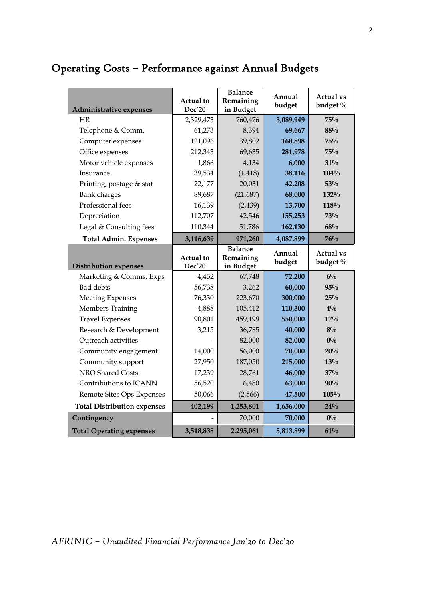# Operating Costs – Performance against Annual Budgets

| Administrative expenses              | Actual to<br>Dec'20 | <b>Balance</b><br>Remaining<br>in Budget | Annual<br>budget  | <b>Actual vs</b><br>budget % |  |
|--------------------------------------|---------------------|------------------------------------------|-------------------|------------------------------|--|
| HR                                   | 2,329,473           | 760,476                                  | 3,089,949         | 75%                          |  |
| Telephone & Comm.                    | 61,273              | 8,394                                    | 69,667            | 88%                          |  |
| Computer expenses                    | 121,096             | 39,802                                   | 160,898           | 75%                          |  |
| Office expenses                      | 212,343             | 69,635                                   | 281,978           | 75%                          |  |
| Motor vehicle expenses               | 1,866               | 4,134                                    | 6,000             | 31%                          |  |
| Insurance                            | 39,534              | (1, 418)                                 | 38,116            | 104%                         |  |
| Printing, postage & stat             | 22,177              | 20,031                                   | 42,208            | 53%                          |  |
| <b>Bank</b> charges                  | 89,687              | (21, 687)                                | 68,000            | 132%                         |  |
| Professional fees                    | 16,139              | (2, 439)                                 | 13,700            | 118%                         |  |
| Depreciation                         | 112,707             | 42,546                                   | 155,253           | 73%                          |  |
| Legal & Consulting fees              | 110,344             | 51,786                                   | 162,130           | 68%                          |  |
| <b>Total Admin. Expenses</b>         | 3,116,639           | 971,260                                  | 4,087,899         | 76%                          |  |
|                                      | Actual to           | <b>Balance</b><br>Remaining              | Annual<br>budget  | <b>Actual vs</b><br>budget % |  |
|                                      |                     |                                          |                   |                              |  |
| <b>Distribution expenses</b>         | Dec'20              | in Budget                                |                   |                              |  |
| Marketing & Comms. Exps<br>Bad debts | 4,452               | 67,748                                   | 72,200            | $6\%$<br>95%                 |  |
| <b>Meeting Expenses</b>              | 56,738<br>76,330    | 3,262<br>223,670                         | 60,000<br>300,000 | 25%                          |  |
| Members Training                     | 4,888               | 105,412                                  | 110,300           | $4\%$                        |  |
| <b>Travel Expenses</b>               | 90,801              | 459,199                                  | 550,000           | 17%                          |  |
| Research & Development               | 3,215               | 36,785                                   | 40,000            | $8\%$                        |  |
| Outreach activities                  |                     | 82,000                                   | 82,000            | $0\%$                        |  |
| Community engagement                 | 14,000              | 56,000                                   | 70,000            | 20%                          |  |
| Community support                    | 27,950              | 187,050                                  | 215,000           | 13%                          |  |
| NRO Shared Costs                     | 17,239              | 28,761                                   | 46,000            | 37%                          |  |
| Contributions to ICANN               | 56,520              | 6,480                                    | 63,000            | 90%                          |  |
| Remote Sites Ops Expenses            | 50,066              | (2,566)                                  | 47,500            | 105%                         |  |
| <b>Total Distribution expenses</b>   | 402,199             | 1,253,801                                | 1,656,000         | 24%                          |  |
| Contingency                          |                     | 70,000                                   | 70,000            | $0\%$                        |  |